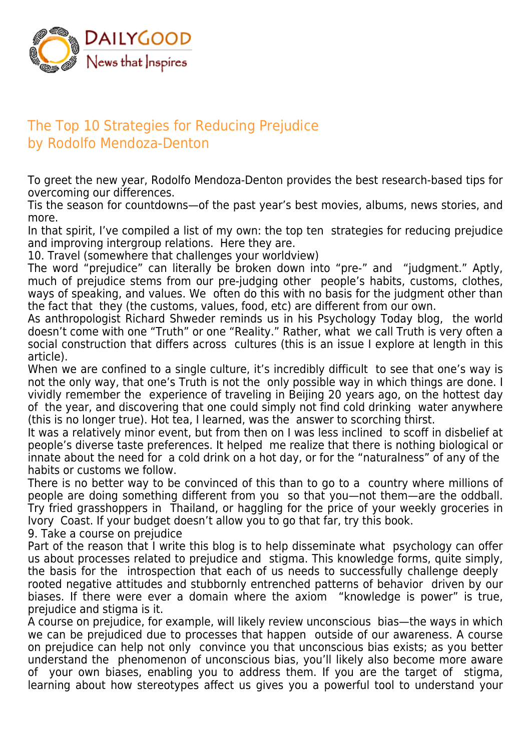

## The Top 10 Strategies for Reducing Prejudice by Rodolfo Mendoza-Denton

To greet the new year, Rodolfo Mendoza-Denton provides the best research-based tips for overcoming our differences.

Tis the season for countdowns—of the past year's best movies, albums, news stories, and more.

In that spirit, I've compiled a list of my own: the top ten strategies for reducing prejudice and improving intergroup relations. Here they are.

10. Travel (somewhere that challenges your worldview)

The word "prejudice" can literally be broken down into "pre-" and "judgment." Aptly, much of prejudice stems from our pre-judging other people's habits, customs, clothes, ways of speaking, and values. We often do this with no basis for the judgment other than the fact that they (the customs, values, food, etc) are different from our own.

As anthropologist Richard Shweder reminds us in his Psychology Today blog, the world doesn't come with one "Truth" or one "Reality." Rather, what we call Truth is very often a social construction that differs across cultures (this is an issue I explore at length in this article).

When we are confined to a single culture, it's incredibly difficult to see that one's way is not the only way, that one's Truth is not the only possible way in which things are done. I vividly remember the experience of traveling in Beijing 20 years ago, on the hottest day of the year, and discovering that one could simply not find cold drinking water anywhere (this is no longer true). Hot tea, I learned, was the answer to scorching thirst.

It was a relatively minor event, but from then on I was less inclined to scoff in disbelief at people's diverse taste preferences. It helped me realize that there is nothing biological or innate about the need for a cold drink on a hot day, or for the "naturalness" of any of the habits or customs we follow.

There is no better way to be convinced of this than to go to a country where millions of people are doing something different from you so that you—not them—are the oddball. Try fried grasshoppers in Thailand, or haggling for the price of your weekly groceries in Ivory Coast. If your budget doesn't allow you to go that far, try this book.

9. Take a course on prejudice

Part of the reason that I write this blog is to help disseminate what psychology can offer us about processes related to prejudice and stigma. This knowledge forms, quite simply, the basis for the introspection that each of us needs to successfully challenge deeply rooted negative attitudes and stubbornly entrenched patterns of behavior driven by our biases. If there were ever a domain where the axiom "knowledge is power" is true, prejudice and stigma is it.

A course on prejudice, for example, will likely review unconscious bias—the ways in which we can be prejudiced due to processes that happen outside of our awareness. A course on prejudice can help not only convince you that unconscious bias exists; as you better understand the phenomenon of unconscious bias, you'll likely also become more aware of your own biases, enabling you to address them. If you are the target of stigma, learning about how stereotypes affect us gives you a powerful tool to understand your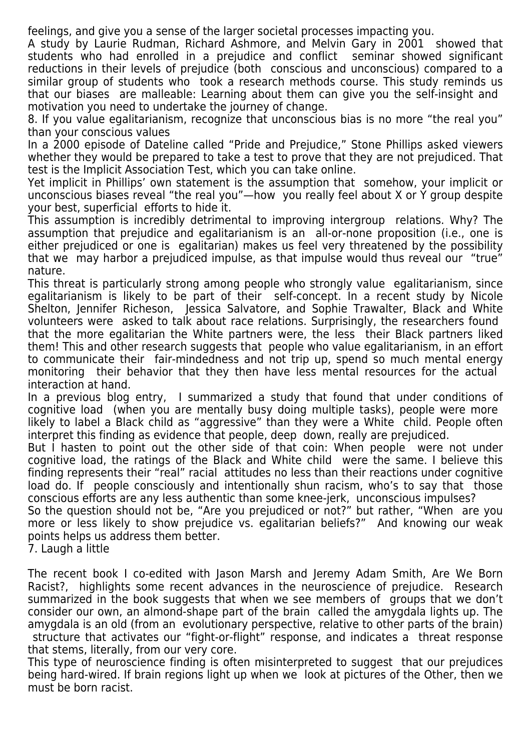feelings, and give you a sense of the larger societal processes impacting you.

A study by Laurie Rudman, Richard Ashmore, and Melvin Gary in 2001 showed that students who had enrolled in a prejudice and conflict seminar showed significant reductions in their levels of prejudice (both conscious and unconscious) compared to a similar group of students who took a research methods course. This study reminds us that our biases are malleable: Learning about them can give you the self-insight and motivation you need to undertake the journey of change.

8. If you value egalitarianism, recognize that unconscious bias is no more "the real you" than your conscious values

In a 2000 episode of Dateline called "Pride and Prejudice," Stone Phillips asked viewers whether they would be prepared to take a test to prove that they are not prejudiced. That test is the Implicit Association Test, which you can take online.

Yet implicit in Phillips' own statement is the assumption that somehow, your implicit or unconscious biases reveal "the real you"—how you really feel about X or Y group despite your best, superficial efforts to hide it.

This assumption is incredibly detrimental to improving intergroup relations. Why? The assumption that prejudice and egalitarianism is an all-or-none proposition (i.e., one is either prejudiced or one is egalitarian) makes us feel very threatened by the possibility that we may harbor a prejudiced impulse, as that impulse would thus reveal our "true" nature.

This threat is particularly strong among people who strongly value egalitarianism, since egalitarianism is likely to be part of their self-concept. In a recent study by Nicole Shelton, Jennifer Richeson, Jessica Salvatore, and Sophie Trawalter, Black and White volunteers were asked to talk about race relations. Surprisingly, the researchers found that the more egalitarian the White partners were, the less their Black partners liked them! This and other research suggests that people who value egalitarianism, in an effort to communicate their fair-mindedness and not trip up, spend so much mental energy monitoring their behavior that they then have less mental resources for the actual interaction at hand.

In a previous blog entry, I summarized a study that found that under conditions of cognitive load (when you are mentally busy doing multiple tasks), people were more likely to label a Black child as "aggressive" than they were a White child. People often interpret this finding as evidence that people, deep down, really are prejudiced.

But I hasten to point out the other side of that coin: When people were not under cognitive load, the ratings of the Black and White child were the same. I believe this finding represents their "real" racial attitudes no less than their reactions under cognitive load do. If people consciously and intentionally shun racism, who's to say that those conscious efforts are any less authentic than some knee-jerk, unconscious impulses?

So the question should not be, "Are you prejudiced or not?" but rather, "When are you more or less likely to show prejudice vs. egalitarian beliefs?" And knowing our weak points helps us address them better.

7. Laugh a little

The recent book I co-edited with Jason Marsh and Jeremy Adam Smith, Are We Born Racist?, highlights some recent advances in the neuroscience of prejudice. Research summarized in the book suggests that when we see members of groups that we don't consider our own, an almond-shape part of the brain called the amygdala lights up. The amygdala is an old (from an evolutionary perspective, relative to other parts of the brain) structure that activates our "fight-or-flight" response, and indicates a threat response that stems, literally, from our very core.

This type of neuroscience finding is often misinterpreted to suggest that our prejudices being hard-wired. If brain regions light up when we look at pictures of the Other, then we must be born racist.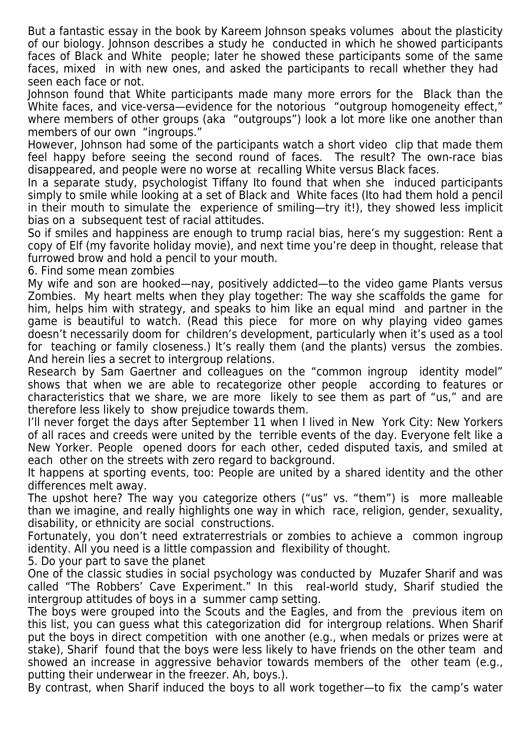But a fantastic essay in the book by Kareem Johnson speaks volumes about the plasticity of our biology. Johnson describes a study he conducted in which he showed participants faces of Black and White people; later he showed these participants some of the same faces, mixed in with new ones, and asked the participants to recall whether they had seen each face or not.

Johnson found that White participants made many more errors for the Black than the White faces, and vice-versa—evidence for the notorious "outgroup homogeneity effect," where members of other groups (aka "outgroups") look a lot more like one another than members of our own "ingroups."

However, Johnson had some of the participants watch a short video clip that made them feel happy before seeing the second round of faces. The result? The own-race bias disappeared, and people were no worse at recalling White versus Black faces.

In a separate study, psychologist Tiffany Ito found that when she induced participants simply to smile while looking at a set of Black and White faces (Ito had them hold a pencil in their mouth to simulate the experience of smiling—try it!), they showed less implicit bias on a subsequent test of racial attitudes.

So if smiles and happiness are enough to trump racial bias, here's my suggestion: Rent a copy of Elf (my favorite holiday movie), and next time you're deep in thought, release that furrowed brow and hold a pencil to your mouth.

6. Find some mean zombies

My wife and son are hooked—nay, positively addicted—to the video game Plants versus Zombies. My heart melts when they play together: The way she scaffolds the game for him, helps him with strategy, and speaks to him like an equal mind and partner in the game is beautiful to watch. (Read this piece for more on why playing video games doesn't necessarily doom for children's development, particularly when it's used as a tool for teaching or family closeness.) It's really them (and the plants) versus the zombies. And herein lies a secret to intergroup relations.

Research by Sam Gaertner and colleagues on the "common ingroup identity model" shows that when we are able to recategorize other people according to features or characteristics that we share, we are more likely to see them as part of "us," and are therefore less likely to show prejudice towards them.

I'll never forget the days after September 11 when I lived in New York City: New Yorkers of all races and creeds were united by the terrible events of the day. Everyone felt like a New Yorker. People opened doors for each other, ceded disputed taxis, and smiled at each other on the streets with zero regard to background.

It happens at sporting events, too: People are united by a shared identity and the other differences melt away.

The upshot here? The way you categorize others ("us" vs. "them") is more malleable than we imagine, and really highlights one way in which race, religion, gender, sexuality, disability, or ethnicity are social constructions.

Fortunately, you don't need extraterrestrials or zombies to achieve a common ingroup identity. All you need is a little compassion and flexibility of thought.

5. Do your part to save the planet

One of the classic studies in social psychology was conducted by Muzafer Sharif and was called "The Robbers' Cave Experiment." In this real-world study, Sharif studied the intergroup attitudes of boys in a summer camp setting.

The boys were grouped into the Scouts and the Eagles, and from the previous item on this list, you can guess what this categorization did for intergroup relations. When Sharif put the boys in direct competition with one another (e.g., when medals or prizes were at stake), Sharif found that the boys were less likely to have friends on the other team and showed an increase in aggressive behavior towards members of the other team (e.g., putting their underwear in the freezer. Ah, boys.).

By contrast, when Sharif induced the boys to all work together—to fix the camp's water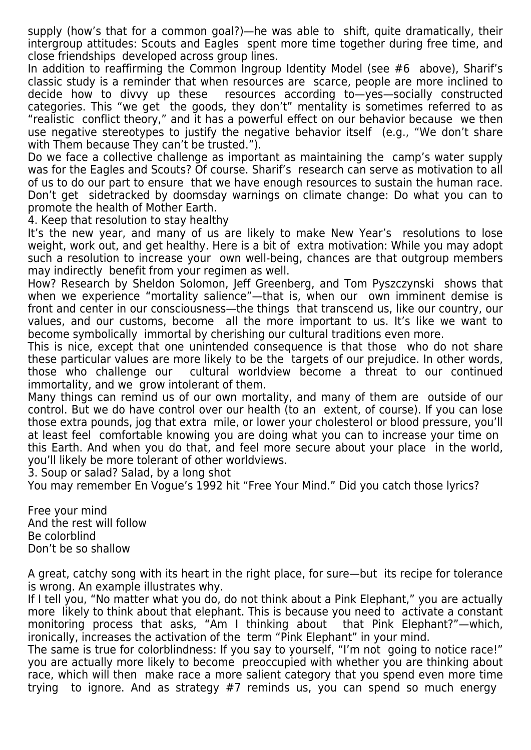supply (how's that for a common goal?)—he was able to shift, quite dramatically, their intergroup attitudes: Scouts and Eagles spent more time together during free time, and close friendships developed across group lines.

In addition to reaffirming the Common Ingroup Identity Model (see #6 above), Sharif's classic study is a reminder that when resources are scarce, people are more inclined to decide how to divvy up these resources according to—yes—socially constructed categories. This "we get the goods, they don't" mentality is sometimes referred to as "realistic conflict theory," and it has a powerful effect on our behavior because we then use negative stereotypes to justify the negative behavior itself (e.g., "We don't share with Them because They can't be trusted.").

Do we face a collective challenge as important as maintaining the camp's water supply was for the Eagles and Scouts? Of course. Sharif's research can serve as motivation to all of us to do our part to ensure that we have enough resources to sustain the human race. Don't get sidetracked by doomsday warnings on climate change: Do what you can to promote the health of Mother Earth.

4. Keep that resolution to stay healthy

It's the new year, and many of us are likely to make New Year's resolutions to lose weight, work out, and get healthy. Here is a bit of extra motivation: While you may adopt such a resolution to increase your own well-being, chances are that outgroup members may indirectly benefit from your regimen as well.

How? Research by Sheldon Solomon, Jeff Greenberg, and Tom Pyszczynski shows that when we experience "mortality salience"—that is, when our own imminent demise is front and center in our consciousness—the things that transcend us, like our country, our values, and our customs, become all the more important to us. It's like we want to become symbolically immortal by cherishing our cultural traditions even more.

This is nice, except that one unintended consequence is that those who do not share these particular values are more likely to be the targets of our prejudice. In other words, those who challenge our cultural worldview become a threat to our continued immortality, and we grow intolerant of them.

Many things can remind us of our own mortality, and many of them are outside of our control. But we do have control over our health (to an extent, of course). If you can lose those extra pounds, jog that extra mile, or lower your cholesterol or blood pressure, you'll at least feel comfortable knowing you are doing what you can to increase your time on this Earth. And when you do that, and feel more secure about your place in the world, you'll likely be more tolerant of other worldviews.

3. Soup or salad? Salad, by a long shot

You may remember En Vogue's 1992 hit "Free Your Mind." Did you catch those lyrics?

Free your mind And the rest will follow Be colorblind Don't be so shallow

A great, catchy song with its heart in the right place, for sure—but its recipe for tolerance is wrong. An example illustrates why.

If I tell you, "No matter what you do, do not think about a Pink Elephant," you are actually more likely to think about that elephant. This is because you need to activate a constant monitoring process that asks, "Am I thinking about that Pink Elephant?"—which, ironically, increases the activation of the term "Pink Elephant" in your mind.

The same is true for colorblindness: If you say to yourself, "I'm not going to notice race!" you are actually more likely to become preoccupied with whether you are thinking about race, which will then make race a more salient category that you spend even more time trying to ignore. And as strategy #7 reminds us, you can spend so much energy